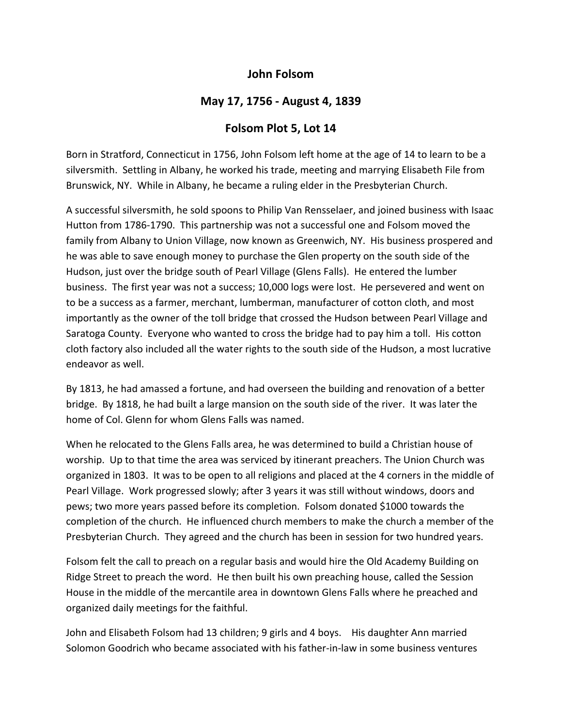## **John Folsom**

## **May 17, 1756 ‐ August 4, 1839**

## **Folsom Plot 5, Lot 14**

Born in Stratford, Connecticut in 1756, John Folsom left home at the age of 14 to learn to be a silversmith. Settling in Albany, he worked his trade, meeting and marrying Elisabeth File from Brunswick, NY. While in Albany, he became a ruling elder in the Presbyterian Church.

A successful silversmith, he sold spoons to Philip Van Rensselaer, and joined business with Isaac Hutton from 1786‐1790. This partnership was not a successful one and Folsom moved the family from Albany to Union Village, now known as Greenwich, NY. His business prospered and he was able to save enough money to purchase the Glen property on the south side of the Hudson, just over the bridge south of Pearl Village (Glens Falls). He entered the lumber business. The first year was not a success; 10,000 logs were lost. He persevered and went on to be a success as a farmer, merchant, lumberman, manufacturer of cotton cloth, and most importantly as the owner of the toll bridge that crossed the Hudson between Pearl Village and Saratoga County. Everyone who wanted to cross the bridge had to pay him a toll. His cotton cloth factory also included all the water rights to the south side of the Hudson, a most lucrative endeavor as well.

By 1813, he had amassed a fortune, and had overseen the building and renovation of a better bridge. By 1818, he had built a large mansion on the south side of the river. It was later the home of Col. Glenn for whom Glens Falls was named.

When he relocated to the Glens Falls area, he was determined to build a Christian house of worship. Up to that time the area was serviced by itinerant preachers. The Union Church was organized in 1803. It was to be open to all religions and placed at the 4 corners in the middle of Pearl Village. Work progressed slowly; after 3 years it was still without windows, doors and pews; two more years passed before its completion. Folsom donated \$1000 towards the completion of the church. He influenced church members to make the church a member of the Presbyterian Church. They agreed and the church has been in session for two hundred years.

Folsom felt the call to preach on a regular basis and would hire the Old Academy Building on Ridge Street to preach the word. He then built his own preaching house, called the Session House in the middle of the mercantile area in downtown Glens Falls where he preached and organized daily meetings for the faithful.

John and Elisabeth Folsom had 13 children; 9 girls and 4 boys. His daughter Ann married Solomon Goodrich who became associated with his father‐in‐law in some business ventures